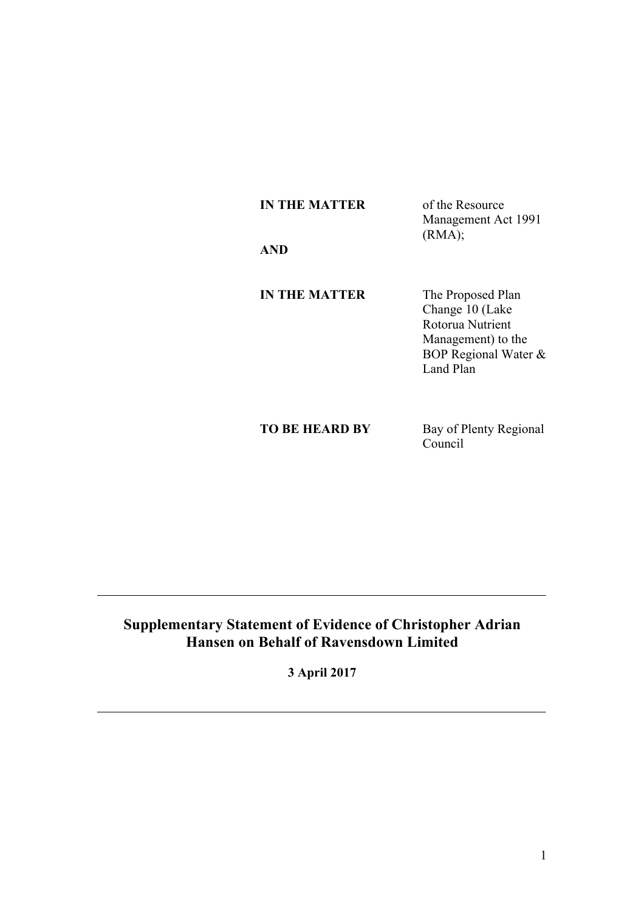| of the Resource     |
|---------------------|
| Management Act 1991 |
| (RMA);              |
|                     |
|                     |

**A** 

**IN THE MATTER** The Proposed Plan Change 10 (Lake Rotorua Nutrient Management) to the BOP Regional Water & Land Plan

**TO BE HEARD BY** Bay of Plenty Regional Council

# **Supplementary Statement of Evidence of Christopher Adrian Hansen on Behalf of Ravensdown Limited**

**3 April 2017**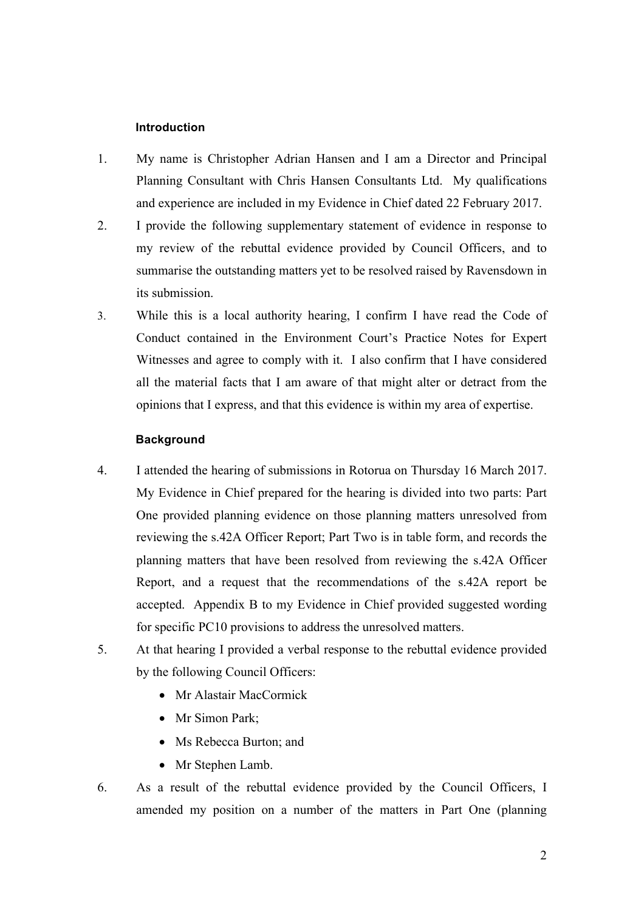### **Introduction**

- 1. My name is Christopher Adrian Hansen and I am a Director and Principal Planning Consultant with Chris Hansen Consultants Ltd. My qualifications and experience are included in my Evidence in Chief dated 22 February 2017.
- 2. I provide the following supplementary statement of evidence in response to my review of the rebuttal evidence provided by Council Officers, and to summarise the outstanding matters yet to be resolved raised by Ravensdown in its submission.
- 3. While this is a local authority hearing, I confirm I have read the Code of Conduct contained in the Environment Court's Practice Notes for Expert Witnesses and agree to comply with it. I also confirm that I have considered all the material facts that I am aware of that might alter or detract from the opinions that I express, and that this evidence is within my area of expertise.

### **Background**

- 4. I attended the hearing of submissions in Rotorua on Thursday 16 March 2017. My Evidence in Chief prepared for the hearing is divided into two parts: Part One provided planning evidence on those planning matters unresolved from reviewing the s.42A Officer Report; Part Two is in table form, and records the planning matters that have been resolved from reviewing the s.42A Officer Report, and a request that the recommendations of the s.42A report be accepted. Appendix B to my Evidence in Chief provided suggested wording for specific PC10 provisions to address the unresolved matters.
- 5. At that hearing I provided a verbal response to the rebuttal evidence provided by the following Council Officers:
	- Mr Alastair MacCormick
	- Mr Simon Park:
	- Ms Rebecca Burton; and
	- Mr Stephen Lamb.
- 6. As a result of the rebuttal evidence provided by the Council Officers, I amended my position on a number of the matters in Part One (planning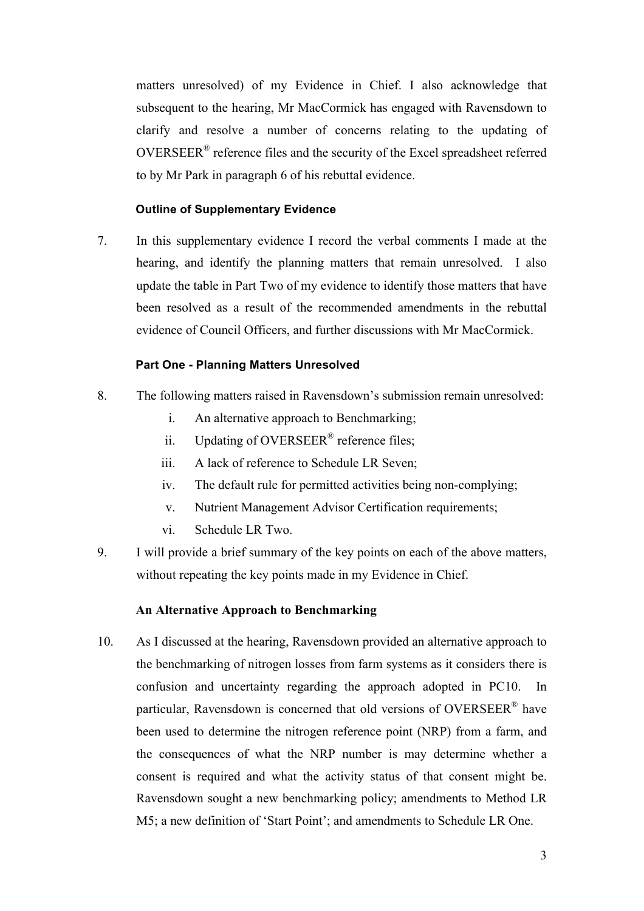matters unresolved) of my Evidence in Chief. I also acknowledge that subsequent to the hearing, Mr MacCormick has engaged with Ravensdown to clarify and resolve a number of concerns relating to the updating of OVERSEER® reference files and the security of the Excel spreadsheet referred to by Mr Park in paragraph 6 of his rebuttal evidence.

### **Outline of Supplementary Evidence**

7. In this supplementary evidence I record the verbal comments I made at the hearing, and identify the planning matters that remain unresolved. I also update the table in Part Two of my evidence to identify those matters that have been resolved as a result of the recommended amendments in the rebuttal evidence of Council Officers, and further discussions with Mr MacCormick.

### **Part One - Planning Matters Unresolved**

- 8. The following matters raised in Ravensdown's submission remain unresolved:
	- i. An alternative approach to Benchmarking;
	- ii. Updating of OVERSEER<sup>®</sup> reference files;
	- iii. A lack of reference to Schedule LR Seven;
	- iv. The default rule for permitted activities being non-complying;
	- v. Nutrient Management Advisor Certification requirements;
	- vi. Schedule LR Two.
- 9. I will provide a brief summary of the key points on each of the above matters, without repeating the key points made in my Evidence in Chief.

### **An Alternative Approach to Benchmarking**

10. As I discussed at the hearing, Ravensdown provided an alternative approach to the benchmarking of nitrogen losses from farm systems as it considers there is confusion and uncertainty regarding the approach adopted in PC10. In particular, Ravensdown is concerned that old versions of OVERSEER® have been used to determine the nitrogen reference point (NRP) from a farm, and the consequences of what the NRP number is may determine whether a consent is required and what the activity status of that consent might be. Ravensdown sought a new benchmarking policy; amendments to Method LR M5; a new definition of 'Start Point'; and amendments to Schedule LR One.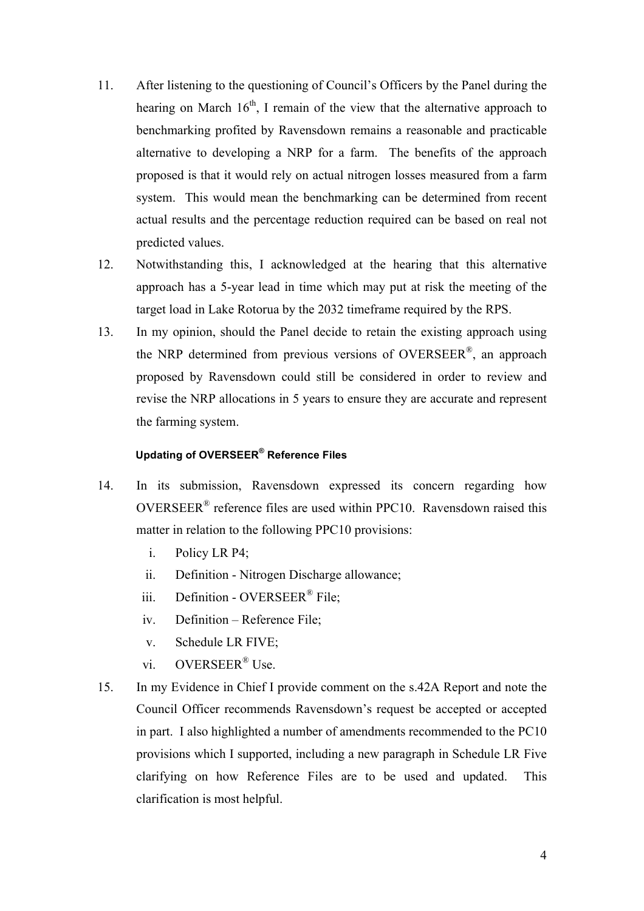- 11. After listening to the questioning of Council's Officers by the Panel during the hearing on March  $16<sup>th</sup>$ , I remain of the view that the alternative approach to benchmarking profited by Ravensdown remains a reasonable and practicable alternative to developing a NRP for a farm. The benefits of the approach proposed is that it would rely on actual nitrogen losses measured from a farm system. This would mean the benchmarking can be determined from recent actual results and the percentage reduction required can be based on real not predicted values.
- 12. Notwithstanding this, I acknowledged at the hearing that this alternative approach has a 5-year lead in time which may put at risk the meeting of the target load in Lake Rotorua by the 2032 timeframe required by the RPS.
- 13. In my opinion, should the Panel decide to retain the existing approach using the NRP determined from previous versions of OVERSEER®, an approach proposed by Ravensdown could still be considered in order to review and revise the NRP allocations in 5 years to ensure they are accurate and represent the farming system.

## **Updating of OVERSEER® Reference Files**

- 14. In its submission, Ravensdown expressed its concern regarding how OVERSEER® reference files are used within PPC10. Ravensdown raised this matter in relation to the following PPC10 provisions:
	- i. Policy LR P4;
	- ii. Definition Nitrogen Discharge allowance;
	- iii. Definition OVERSEER<sup>®</sup> File;
	- iv. Definition Reference File;
	- v. Schedule LR FIVE;
	- vi. OVERSEER® Use.
- 15. In my Evidence in Chief I provide comment on the s.42A Report and note the Council Officer recommends Ravensdown's request be accepted or accepted in part. I also highlighted a number of amendments recommended to the PC10 provisions which I supported, including a new paragraph in Schedule LR Five clarifying on how Reference Files are to be used and updated. This clarification is most helpful.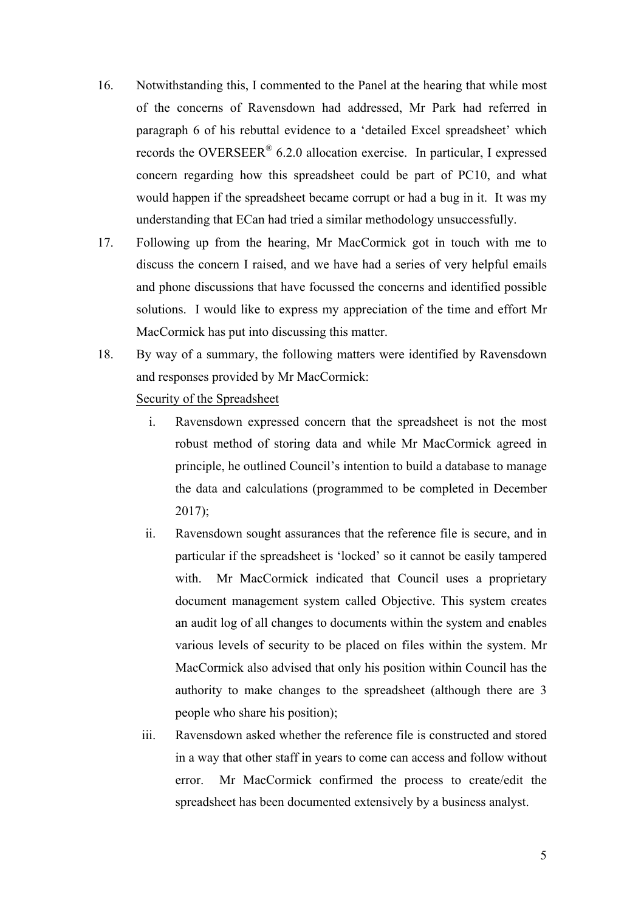- 16. Notwithstanding this, I commented to the Panel at the hearing that while most of the concerns of Ravensdown had addressed, Mr Park had referred in paragraph 6 of his rebuttal evidence to a 'detailed Excel spreadsheet' which records the OVERSEER<sup>®</sup> 6.2.0 allocation exercise. In particular, I expressed concern regarding how this spreadsheet could be part of PC10, and what would happen if the spreadsheet became corrupt or had a bug in it. It was my understanding that ECan had tried a similar methodology unsuccessfully.
- 17. Following up from the hearing, Mr MacCormick got in touch with me to discuss the concern I raised, and we have had a series of very helpful emails and phone discussions that have focussed the concerns and identified possible solutions. I would like to express my appreciation of the time and effort Mr MacCormick has put into discussing this matter.
- 18. By way of a summary, the following matters were identified by Ravensdown and responses provided by Mr MacCormick:

# Security of the Spreadsheet

- i. Ravensdown expressed concern that the spreadsheet is not the most robust method of storing data and while Mr MacCormick agreed in principle, he outlined Council's intention to build a database to manage the data and calculations (programmed to be completed in December  $2017$ ;
- ii. Ravensdown sought assurances that the reference file is secure, and in particular if the spreadsheet is 'locked' so it cannot be easily tampered with. Mr MacCormick indicated that Council uses a proprietary document management system called Objective. This system creates an audit log of all changes to documents within the system and enables various levels of security to be placed on files within the system. Mr MacCormick also advised that only his position within Council has the authority to make changes to the spreadsheet (although there are 3 people who share his position);
- iii. Ravensdown asked whether the reference file is constructed and stored in a way that other staff in years to come can access and follow without error. Mr MacCormick confirmed the process to create/edit the spreadsheet has been documented extensively by a business analyst.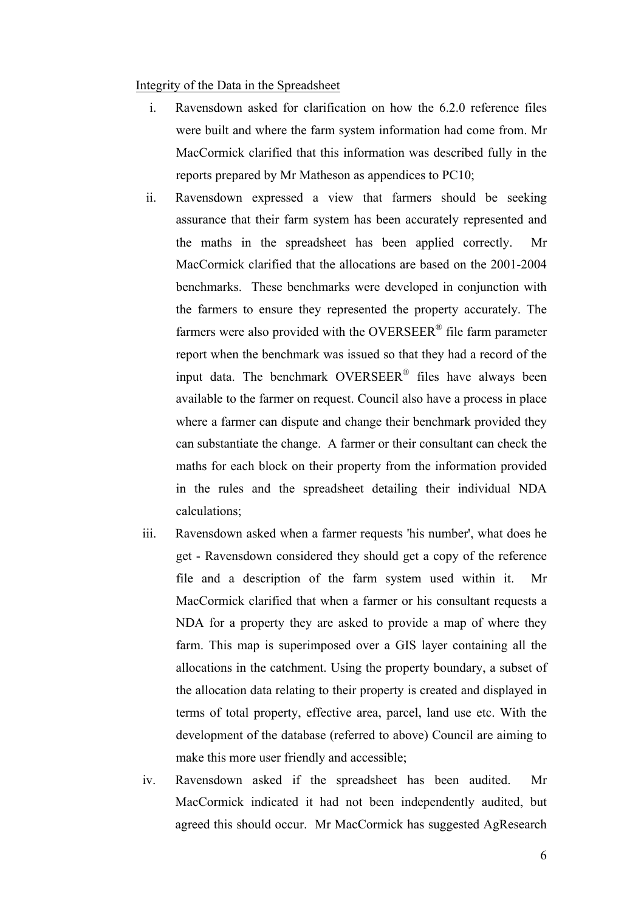### Integrity of the Data in the Spreadsheet

- i. Ravensdown asked for clarification on how the 6.2.0 reference files were built and where the farm system information had come from. Mr MacCormick clarified that this information was described fully in the reports prepared by Mr Matheson as appendices to PC10;
- ii. Ravensdown expressed a view that farmers should be seeking assurance that their farm system has been accurately represented and the maths in the spreadsheet has been applied correctly. Mr MacCormick clarified that the allocations are based on the 2001-2004 benchmarks. These benchmarks were developed in conjunction with the farmers to ensure they represented the property accurately. The farmers were also provided with the OVERSEER<sup>®</sup> file farm parameter report when the benchmark was issued so that they had a record of the input data. The benchmark OVERSEER® files have always been available to the farmer on request. Council also have a process in place where a farmer can dispute and change their benchmark provided they can substantiate the change. A farmer or their consultant can check the maths for each block on their property from the information provided in the rules and the spreadsheet detailing their individual NDA calculations;
- iii. Ravensdown asked when a farmer requests 'his number', what does he get - Ravensdown considered they should get a copy of the reference file and a description of the farm system used within it. Mr MacCormick clarified that when a farmer or his consultant requests a NDA for a property they are asked to provide a map of where they farm. This map is superimposed over a GIS layer containing all the allocations in the catchment. Using the property boundary, a subset of the allocation data relating to their property is created and displayed in terms of total property, effective area, parcel, land use etc. With the development of the database (referred to above) Council are aiming to make this more user friendly and accessible;
- iv. Ravensdown asked if the spreadsheet has been audited. Mr MacCormick indicated it had not been independently audited, but agreed this should occur. Mr MacCormick has suggested AgResearch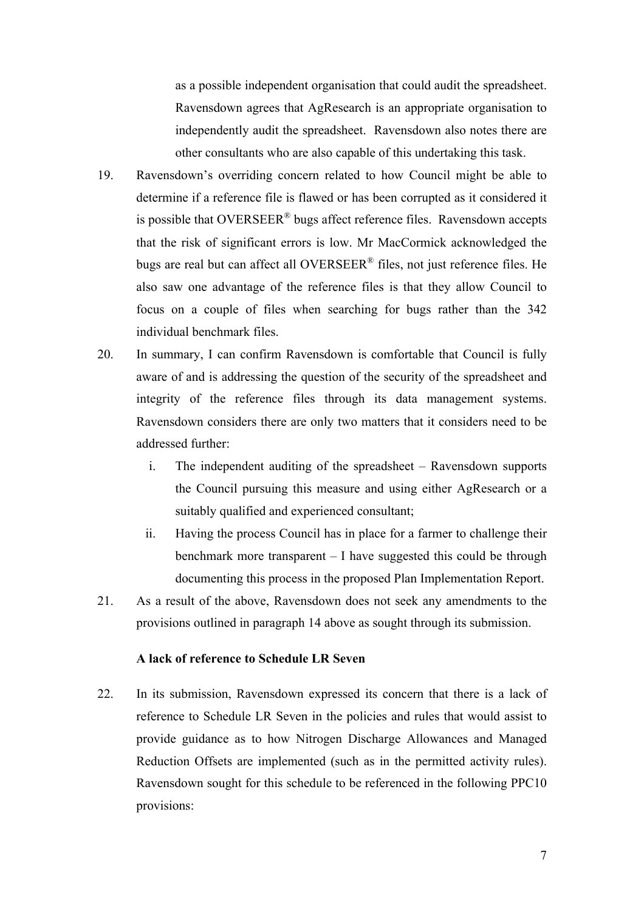as a possible independent organisation that could audit the spreadsheet. Ravensdown agrees that AgResearch is an appropriate organisation to independently audit the spreadsheet. Ravensdown also notes there are other consultants who are also capable of this undertaking this task.

- 19. Ravensdown's overriding concern related to how Council might be able to determine if a reference file is flawed or has been corrupted as it considered it is possible that OVERSEER<sup>®</sup> bugs affect reference files. Ravensdown accepts that the risk of significant errors is low. Mr MacCormick acknowledged the bugs are real but can affect all OVERSEER® files, not just reference files. He also saw one advantage of the reference files is that they allow Council to focus on a couple of files when searching for bugs rather than the 342 individual benchmark files.
- 20. In summary, I can confirm Ravensdown is comfortable that Council is fully aware of and is addressing the question of the security of the spreadsheet and integrity of the reference files through its data management systems. Ravensdown considers there are only two matters that it considers need to be addressed further:
	- i. The independent auditing of the spreadsheet Ravensdown supports the Council pursuing this measure and using either AgResearch or a suitably qualified and experienced consultant;
	- ii. Having the process Council has in place for a farmer to challenge their benchmark more transparent – I have suggested this could be through documenting this process in the proposed Plan Implementation Report.
- 21. As a result of the above, Ravensdown does not seek any amendments to the provisions outlined in paragraph 14 above as sought through its submission.

# **A lack of reference to Schedule LR Seven**

22. In its submission, Ravensdown expressed its concern that there is a lack of reference to Schedule LR Seven in the policies and rules that would assist to provide guidance as to how Nitrogen Discharge Allowances and Managed Reduction Offsets are implemented (such as in the permitted activity rules). Ravensdown sought for this schedule to be referenced in the following PPC10 provisions: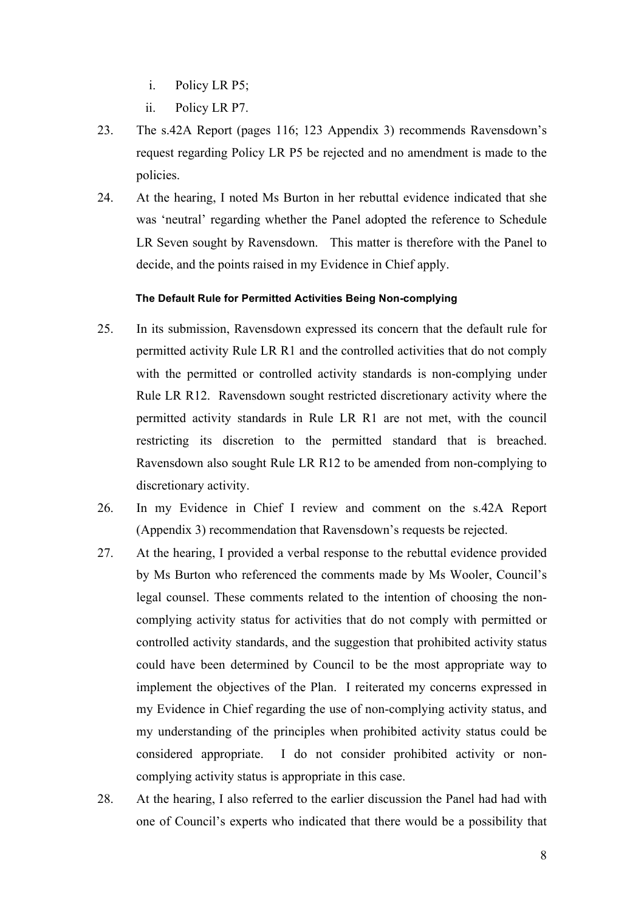- i. Policy LR P5;
- ii. Policy LR P7.
- 23. The s.42A Report (pages 116; 123 Appendix 3) recommends Ravensdown's request regarding Policy LR P5 be rejected and no amendment is made to the policies.
- 24. At the hearing, I noted Ms Burton in her rebuttal evidence indicated that she was 'neutral' regarding whether the Panel adopted the reference to Schedule LR Seven sought by Ravensdown. This matter is therefore with the Panel to decide, and the points raised in my Evidence in Chief apply.

### **The Default Rule for Permitted Activities Being Non-complying**

- 25. In its submission, Ravensdown expressed its concern that the default rule for permitted activity Rule LR R1 and the controlled activities that do not comply with the permitted or controlled activity standards is non-complying under Rule LR R12. Ravensdown sought restricted discretionary activity where the permitted activity standards in Rule LR R1 are not met, with the council restricting its discretion to the permitted standard that is breached. Ravensdown also sought Rule LR R12 to be amended from non-complying to discretionary activity.
- 26. In my Evidence in Chief I review and comment on the s.42A Report (Appendix 3) recommendation that Ravensdown's requests be rejected.
- 27. At the hearing, I provided a verbal response to the rebuttal evidence provided by Ms Burton who referenced the comments made by Ms Wooler, Council's legal counsel. These comments related to the intention of choosing the noncomplying activity status for activities that do not comply with permitted or controlled activity standards, and the suggestion that prohibited activity status could have been determined by Council to be the most appropriate way to implement the objectives of the Plan. I reiterated my concerns expressed in my Evidence in Chief regarding the use of non-complying activity status, and my understanding of the principles when prohibited activity status could be considered appropriate. I do not consider prohibited activity or noncomplying activity status is appropriate in this case.
- 28. At the hearing, I also referred to the earlier discussion the Panel had had with one of Council's experts who indicated that there would be a possibility that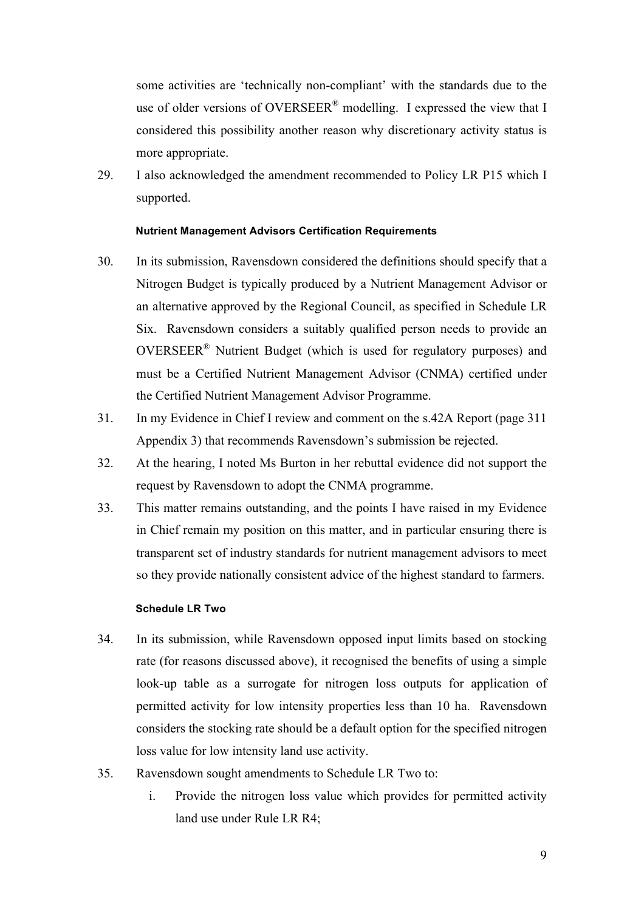some activities are 'technically non-compliant' with the standards due to the use of older versions of OVERSEER<sup>®</sup> modelling. I expressed the view that I considered this possibility another reason why discretionary activity status is more appropriate.

29. I also acknowledged the amendment recommended to Policy LR P15 which I supported.

### **Nutrient Management Advisors Certification Requirements**

- 30. In its submission, Ravensdown considered the definitions should specify that a Nitrogen Budget is typically produced by a Nutrient Management Advisor or an alternative approved by the Regional Council, as specified in Schedule LR Six. Ravensdown considers a suitably qualified person needs to provide an OVERSEER® Nutrient Budget (which is used for regulatory purposes) and must be a Certified Nutrient Management Advisor (CNMA) certified under the Certified Nutrient Management Advisor Programme.
- 31. In my Evidence in Chief I review and comment on the s.42A Report (page 311 Appendix 3) that recommends Ravensdown's submission be rejected.
- 32. At the hearing, I noted Ms Burton in her rebuttal evidence did not support the request by Ravensdown to adopt the CNMA programme.
- 33. This matter remains outstanding, and the points I have raised in my Evidence in Chief remain my position on this matter, and in particular ensuring there is transparent set of industry standards for nutrient management advisors to meet so they provide nationally consistent advice of the highest standard to farmers.

#### **Schedule LR Two**

- 34. In its submission, while Ravensdown opposed input limits based on stocking rate (for reasons discussed above), it recognised the benefits of using a simple look-up table as a surrogate for nitrogen loss outputs for application of permitted activity for low intensity properties less than 10 ha. Ravensdown considers the stocking rate should be a default option for the specified nitrogen loss value for low intensity land use activity.
- 35. Ravensdown sought amendments to Schedule LR Two to:
	- i. Provide the nitrogen loss value which provides for permitted activity land use under Rule LR R4;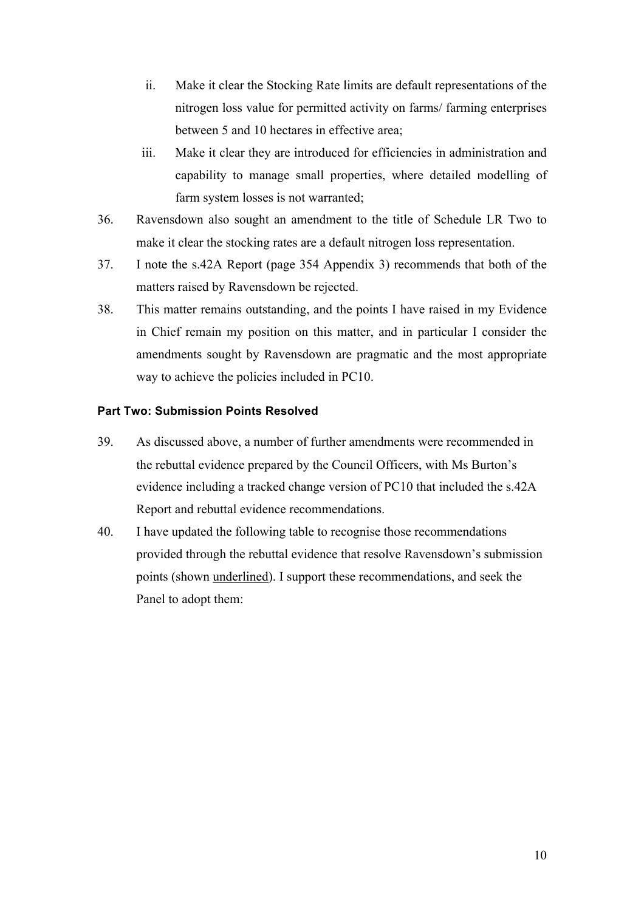- ii. Make it clear the Stocking Rate limits are default representations of the nitrogen loss value for permitted activity on farms/ farming enterprises between 5 and 10 hectares in effective area;
- iii. Make it clear they are introduced for efficiencies in administration and capability to manage small properties, where detailed modelling of farm system losses is not warranted;
- 36. Ravensdown also sought an amendment to the title of Schedule LR Two to make it clear the stocking rates are a default nitrogen loss representation.
- 37. I note the s.42A Report (page 354 Appendix 3) recommends that both of the matters raised by Ravensdown be rejected.
- 38. This matter remains outstanding, and the points I have raised in my Evidence in Chief remain my position on this matter, and in particular I consider the amendments sought by Ravensdown are pragmatic and the most appropriate way to achieve the policies included in PC10.

## **Part Two: Submission Points Resolved**

- 39. As discussed above, a number of further amendments were recommended in the rebuttal evidence prepared by the Council Officers, with Ms Burton's evidence including a tracked change version of PC10 that included the s.42A Report and rebuttal evidence recommendations.
- 40. I have updated the following table to recognise those recommendations provided through the rebuttal evidence that resolve Ravensdown's submission points (shown underlined). I support these recommendations, and seek the Panel to adopt them: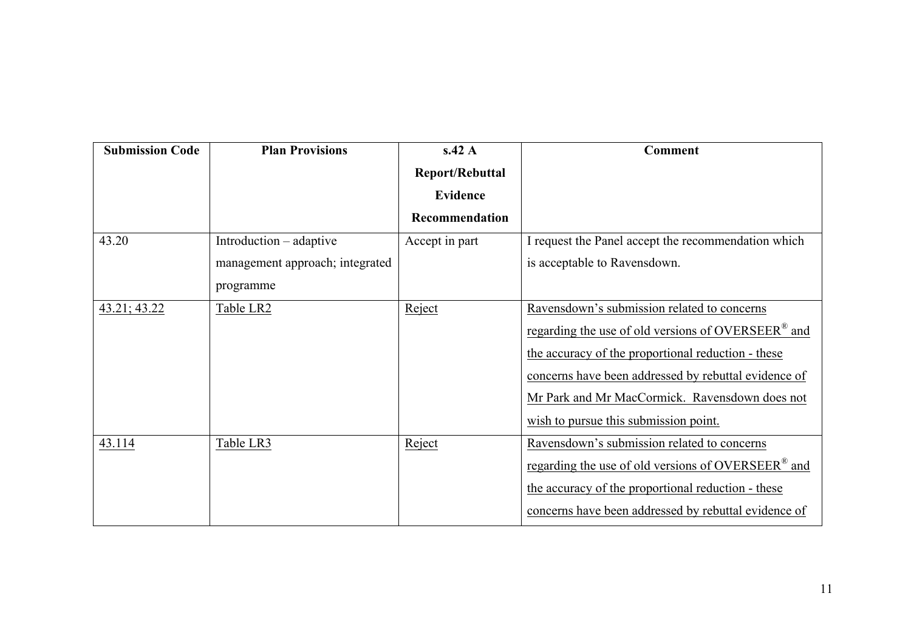| <b>Submission Code</b> | <b>Plan Provisions</b>          | s.42 A                 | <b>Comment</b>                                                 |
|------------------------|---------------------------------|------------------------|----------------------------------------------------------------|
|                        |                                 | <b>Report/Rebuttal</b> |                                                                |
|                        |                                 | <b>Evidence</b>        |                                                                |
|                        |                                 | Recommendation         |                                                                |
| 43.20                  | Introduction – adaptive         | Accept in part         | I request the Panel accept the recommendation which            |
|                        | management approach; integrated |                        | is acceptable to Ravensdown.                                   |
|                        | programme                       |                        |                                                                |
| 43.21; 43.22           | Table LR2                       | Reject                 | Ravensdown's submission related to concerns                    |
|                        |                                 |                        | regarding the use of old versions of OVERSEER <sup>®</sup> and |
|                        |                                 |                        | the accuracy of the proportional reduction - these             |
|                        |                                 |                        | concerns have been addressed by rebuttal evidence of           |
|                        |                                 |                        | Mr Park and Mr MacCormick. Ravensdown does not                 |
|                        |                                 |                        | wish to pursue this submission point.                          |
| 43.114                 | Table LR3                       | Reject                 | Ravensdown's submission related to concerns                    |
|                        |                                 |                        | regarding the use of old versions of OVERSEER <sup>®</sup> and |
|                        |                                 |                        | the accuracy of the proportional reduction - these             |
|                        |                                 |                        | concerns have been addressed by rebuttal evidence of           |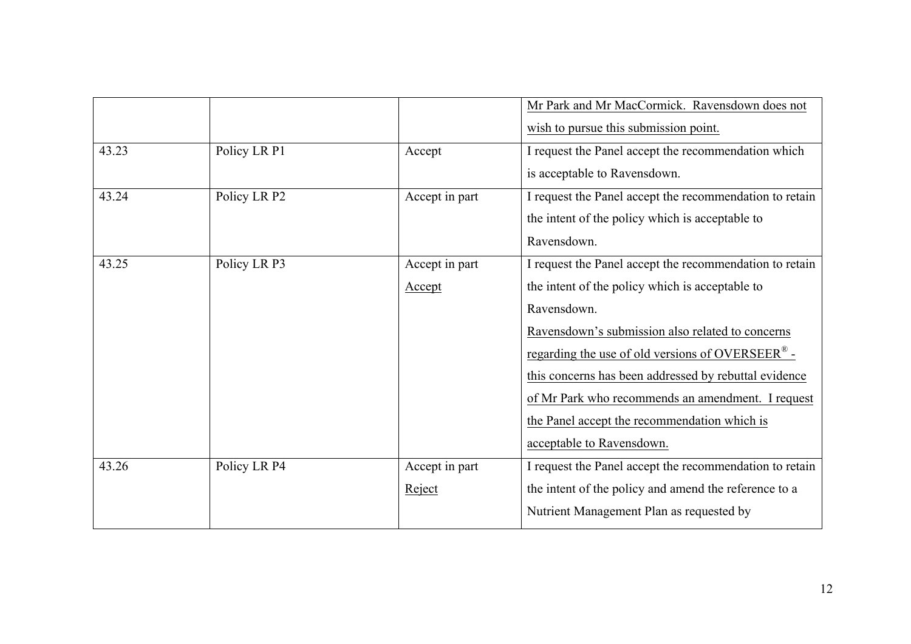|       |              |                | Mr Park and Mr MacCormick. Ravensdown does not               |
|-------|--------------|----------------|--------------------------------------------------------------|
|       |              |                | wish to pursue this submission point.                        |
| 43.23 | Policy LR P1 | Accept         | I request the Panel accept the recommendation which          |
|       |              |                | is acceptable to Ravensdown.                                 |
| 43.24 | Policy LR P2 | Accept in part | I request the Panel accept the recommendation to retain      |
|       |              |                | the intent of the policy which is acceptable to              |
|       |              |                | Ravensdown.                                                  |
| 43.25 | Policy LR P3 | Accept in part | I request the Panel accept the recommendation to retain      |
|       |              | Accept         | the intent of the policy which is acceptable to              |
|       |              |                | Ravensdown.                                                  |
|       |              |                | Ravensdown's submission also related to concerns             |
|       |              |                | regarding the use of old versions of OVERSEER <sup>®</sup> - |
|       |              |                | this concerns has been addressed by rebuttal evidence        |
|       |              |                | of Mr Park who recommends an amendment. I request            |
|       |              |                | the Panel accept the recommendation which is                 |
|       |              |                | acceptable to Ravensdown.                                    |
| 43.26 | Policy LR P4 | Accept in part | I request the Panel accept the recommendation to retain      |
|       |              | Reject         | the intent of the policy and amend the reference to a        |
|       |              |                | Nutrient Management Plan as requested by                     |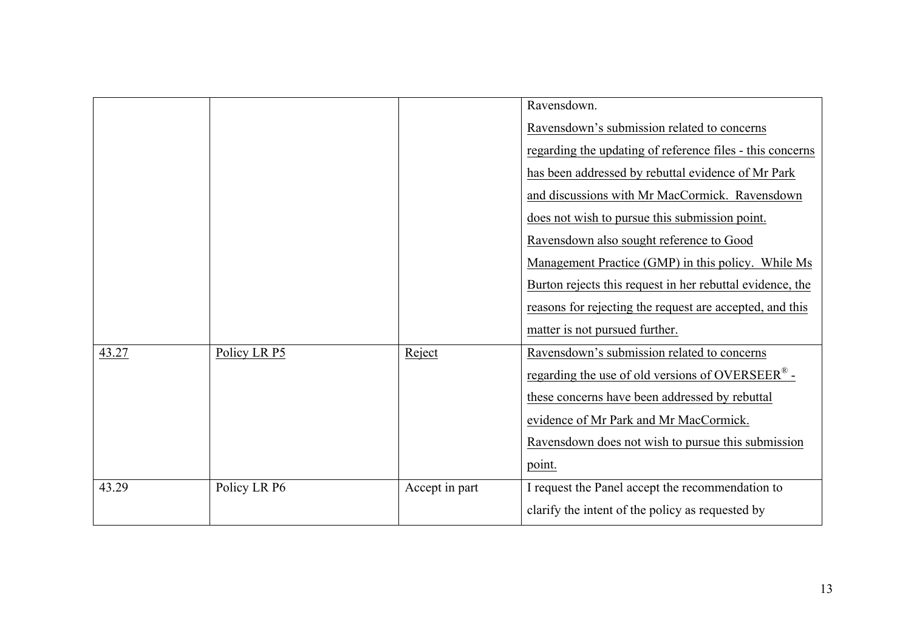|       |              |                | Ravensdown.                                                    |
|-------|--------------|----------------|----------------------------------------------------------------|
|       |              |                | Ravensdown's submission related to concerns                    |
|       |              |                | regarding the updating of reference files - this concerns      |
|       |              |                | has been addressed by rebuttal evidence of Mr Park             |
|       |              |                | and discussions with Mr MacCormick. Ravensdown                 |
|       |              |                | does not wish to pursue this submission point.                 |
|       |              |                | Ravensdown also sought reference to Good                       |
|       |              |                | Management Practice (GMP) in this policy. While Ms             |
|       |              |                | Burton rejects this request in her rebuttal evidence, the      |
|       |              |                | reasons for rejecting the request are accepted, and this       |
|       |              |                | matter is not pursued further.                                 |
| 43.27 | Policy LR P5 | Reject         | Ravensdown's submission related to concerns                    |
|       |              |                | regarding the use of old versions of OVERSEER $^{\circledR}$ - |
|       |              |                | these concerns have been addressed by rebuttal                 |
|       |              |                | evidence of Mr Park and Mr MacCormick.                         |
|       |              |                | Ravensdown does not wish to pursue this submission             |
|       |              |                | point.                                                         |
| 43.29 | Policy LR P6 | Accept in part | I request the Panel accept the recommendation to               |
|       |              |                | clarify the intent of the policy as requested by               |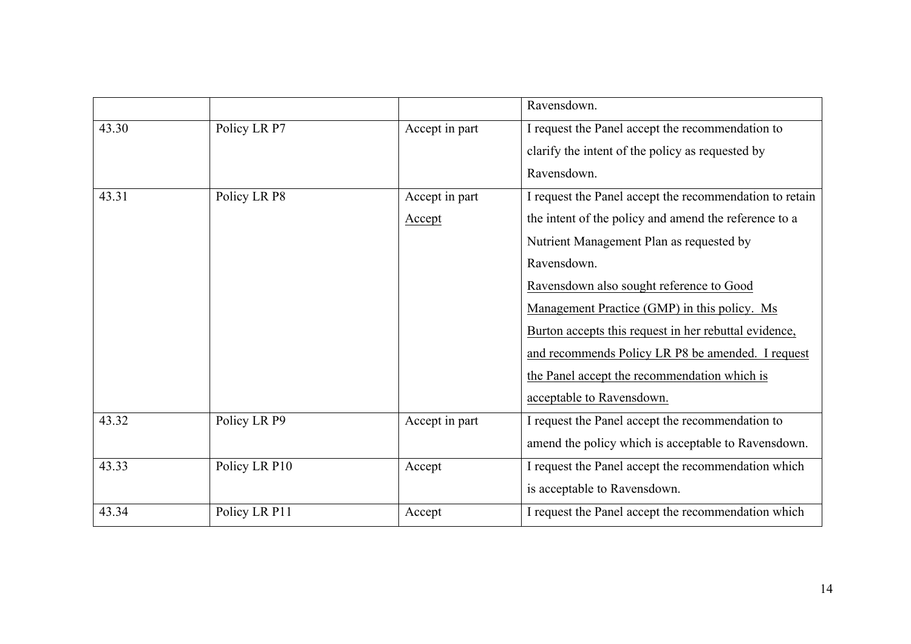|       |               |                | Ravensdown.                                             |
|-------|---------------|----------------|---------------------------------------------------------|
| 43.30 | Policy LR P7  | Accept in part | I request the Panel accept the recommendation to        |
|       |               |                | clarify the intent of the policy as requested by        |
|       |               |                | Ravensdown.                                             |
| 43.31 | Policy LR P8  | Accept in part | I request the Panel accept the recommendation to retain |
|       |               | Accept         | the intent of the policy and amend the reference to a   |
|       |               |                | Nutrient Management Plan as requested by                |
|       |               |                | Ravensdown.                                             |
|       |               |                | Ravensdown also sought reference to Good                |
|       |               |                | Management Practice (GMP) in this policy. Ms            |
|       |               |                | Burton accepts this request in her rebuttal evidence,   |
|       |               |                | and recommends Policy LR P8 be amended. I request       |
|       |               |                | the Panel accept the recommendation which is            |
|       |               |                | acceptable to Ravensdown.                               |
| 43.32 | Policy LR P9  | Accept in part | I request the Panel accept the recommendation to        |
|       |               |                | amend the policy which is acceptable to Ravensdown.     |
| 43.33 | Policy LR P10 | Accept         | I request the Panel accept the recommendation which     |
|       |               |                | is acceptable to Ravensdown.                            |
| 43.34 | Policy LR P11 | Accept         | I request the Panel accept the recommendation which     |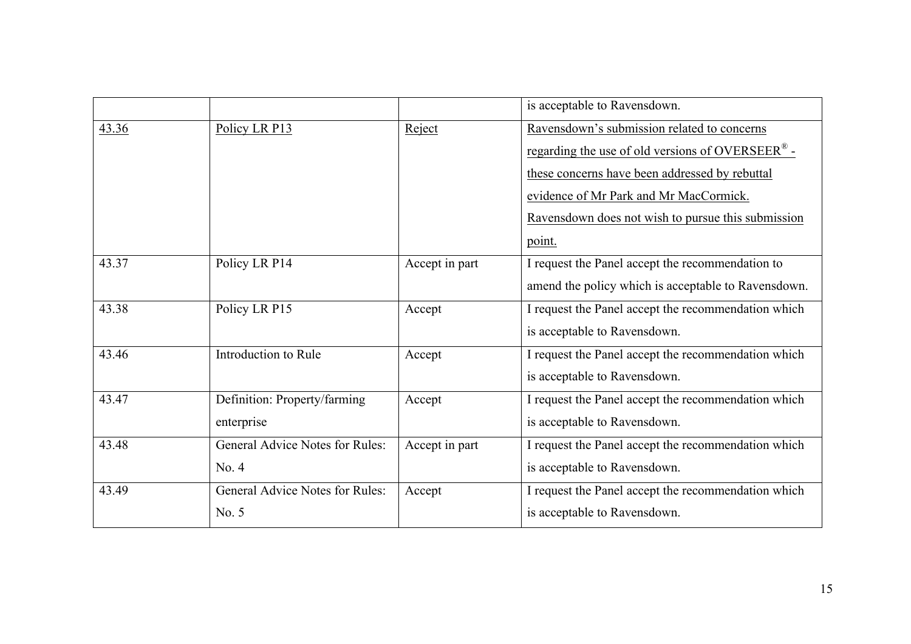|       |                                        |                | is acceptable to Ravensdown.                                   |
|-------|----------------------------------------|----------------|----------------------------------------------------------------|
| 43.36 | Policy LR P13                          | Reject         | Ravensdown's submission related to concerns                    |
|       |                                        |                | regarding the use of old versions of OVERSEER $^{\circledR}$ - |
|       |                                        |                | these concerns have been addressed by rebuttal                 |
|       |                                        |                | evidence of Mr Park and Mr MacCormick.                         |
|       |                                        |                | Ravensdown does not wish to pursue this submission             |
|       |                                        |                | point.                                                         |
| 43.37 | Policy LR P14                          | Accept in part | I request the Panel accept the recommendation to               |
|       |                                        |                | amend the policy which is acceptable to Ravensdown.            |
| 43.38 | Policy LR P15                          | Accept         | I request the Panel accept the recommendation which            |
|       |                                        |                | is acceptable to Ravensdown.                                   |
| 43.46 | Introduction to Rule                   | Accept         | I request the Panel accept the recommendation which            |
|       |                                        |                | is acceptable to Ravensdown.                                   |
| 43.47 | Definition: Property/farming           | Accept         | I request the Panel accept the recommendation which            |
|       | enterprise                             |                | is acceptable to Ravensdown.                                   |
| 43.48 | General Advice Notes for Rules:        | Accept in part | I request the Panel accept the recommendation which            |
|       | No. 4                                  |                | is acceptable to Ravensdown.                                   |
| 43.49 | <b>General Advice Notes for Rules:</b> | Accept         | I request the Panel accept the recommendation which            |
|       | No. 5                                  |                | is acceptable to Ravensdown.                                   |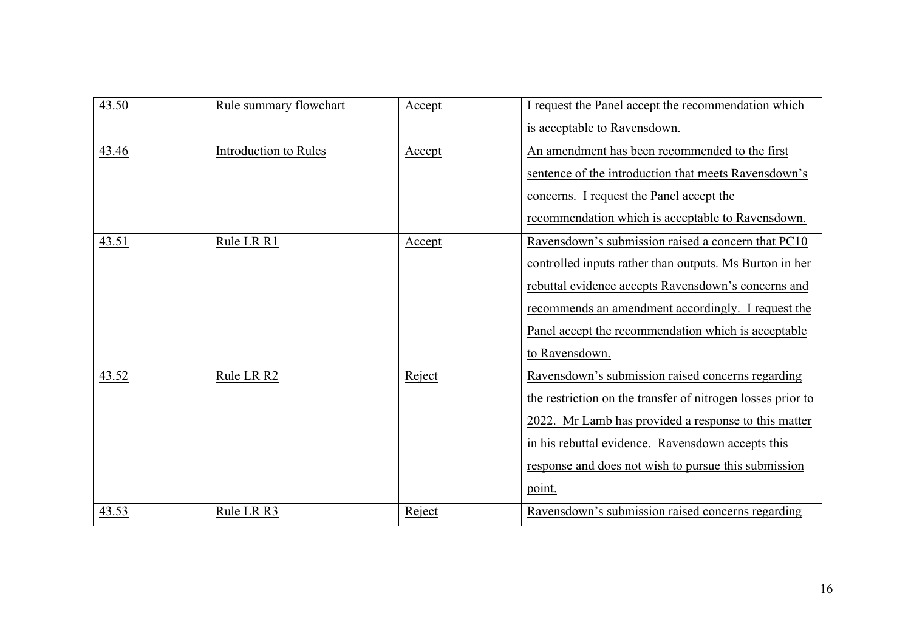| 43.50 | Rule summary flowchart | Accept | I request the Panel accept the recommendation which         |
|-------|------------------------|--------|-------------------------------------------------------------|
|       |                        |        | is acceptable to Ravensdown.                                |
| 43.46 | Introduction to Rules  | Accept | An amendment has been recommended to the first              |
|       |                        |        | sentence of the introduction that meets Ravensdown's        |
|       |                        |        | concerns. I request the Panel accept the                    |
|       |                        |        | recommendation which is acceptable to Ravensdown.           |
| 43.51 | Rule LR R1             | Accept | Ravensdown's submission raised a concern that PC10          |
|       |                        |        | controlled inputs rather than outputs. Ms Burton in her     |
|       |                        |        | rebuttal evidence accepts Ravensdown's concerns and         |
|       |                        |        | recommends an amendment accordingly. I request the          |
|       |                        |        | Panel accept the recommendation which is acceptable         |
|       |                        |        | to Ravensdown.                                              |
| 43.52 | Rule LR R2             | Reject | Ravensdown's submission raised concerns regarding           |
|       |                        |        | the restriction on the transfer of nitrogen losses prior to |
|       |                        |        | 2022. Mr Lamb has provided a response to this matter        |
|       |                        |        | in his rebuttal evidence. Ravensdown accepts this           |
|       |                        |        | response and does not wish to pursue this submission        |
|       |                        |        | point.                                                      |
| 43.53 | Rule LR R3             | Reject | Ravensdown's submission raised concerns regarding           |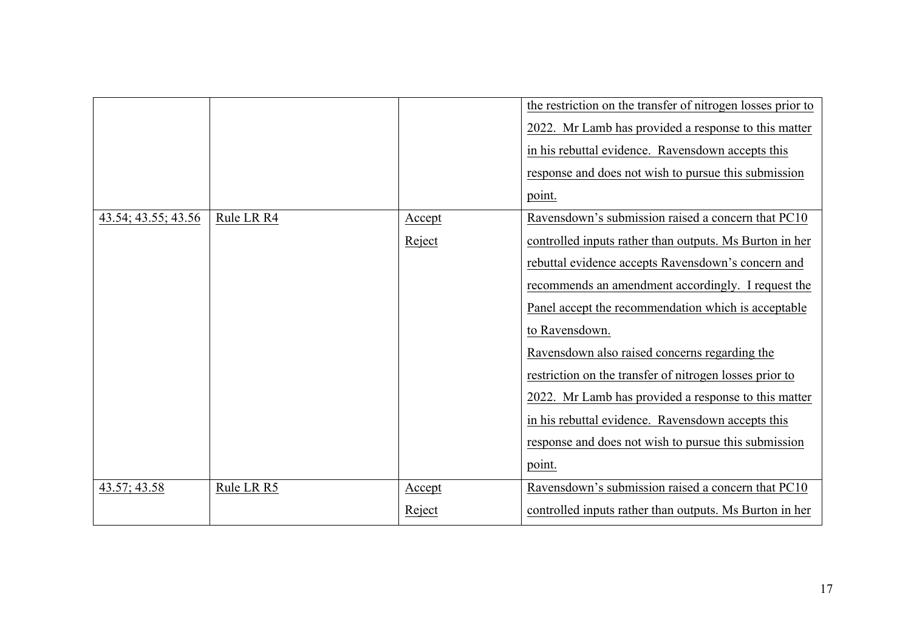|                     |            |                         | the restriction on the transfer of nitrogen losses prior to<br>2022. Mr Lamb has provided a response to this matter<br>in his rebuttal evidence. Ravensdown accepts this<br>response and does not wish to pursue this submission<br>point.                                                                                                                                                                                                                                                                                                                                                    |
|---------------------|------------|-------------------------|-----------------------------------------------------------------------------------------------------------------------------------------------------------------------------------------------------------------------------------------------------------------------------------------------------------------------------------------------------------------------------------------------------------------------------------------------------------------------------------------------------------------------------------------------------------------------------------------------|
| 43.54; 43.55; 43.56 | Rule LR R4 | Accept<br>Reject        | Ravensdown's submission raised a concern that PC10<br>controlled inputs rather than outputs. Ms Burton in her<br>rebuttal evidence accepts Ravensdown's concern and<br>recommends an amendment accordingly. I request the<br>Panel accept the recommendation which is acceptable<br>to Ravensdown.<br>Ravensdown also raised concerns regarding the<br>restriction on the transfer of nitrogen losses prior to<br>2022. Mr Lamb has provided a response to this matter<br>in his rebuttal evidence. Ravensdown accepts this<br>response and does not wish to pursue this submission<br>point. |
| 43.57; 43.58        | Rule LR R5 | <u>Accept</u><br>Reject | Ravensdown's submission raised a concern that PC10<br>controlled inputs rather than outputs. Ms Burton in her                                                                                                                                                                                                                                                                                                                                                                                                                                                                                 |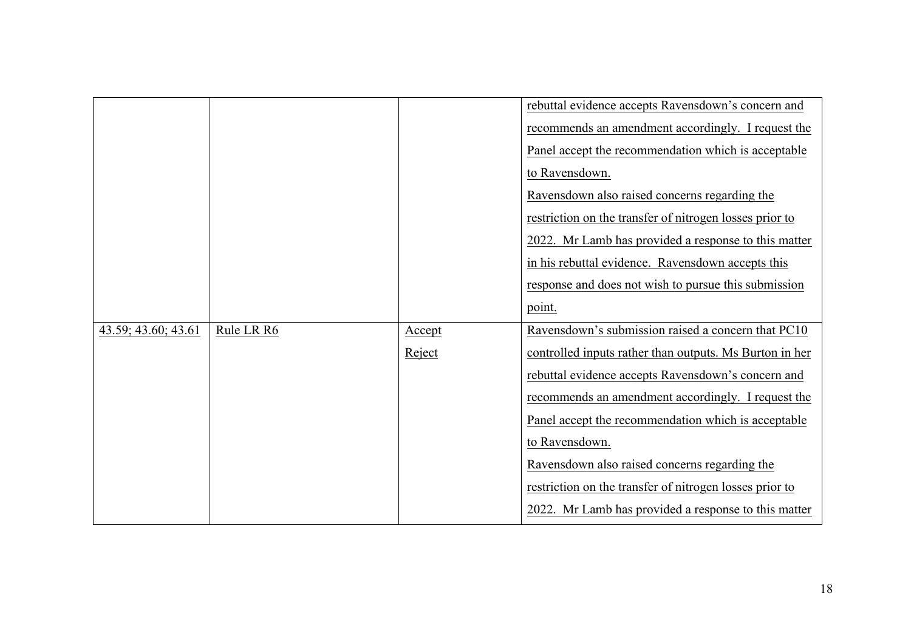|                     |            |        | rebuttal evidence accepts Ravensdown's concern and      |
|---------------------|------------|--------|---------------------------------------------------------|
|                     |            |        | recommends an amendment accordingly. I request the      |
|                     |            |        | Panel accept the recommendation which is acceptable     |
|                     |            |        | to Ravensdown.                                          |
|                     |            |        | Ravensdown also raised concerns regarding the           |
|                     |            |        | restriction on the transfer of nitrogen losses prior to |
|                     |            |        | 2022. Mr Lamb has provided a response to this matter    |
|                     |            |        | in his rebuttal evidence. Ravensdown accepts this       |
|                     |            |        | response and does not wish to pursue this submission    |
|                     |            |        | point.                                                  |
| 43.59; 43.60; 43.61 | Rule LR R6 | Accept | Ravensdown's submission raised a concern that PC10      |
|                     |            | Reject | controlled inputs rather than outputs. Ms Burton in her |
|                     |            |        | rebuttal evidence accepts Ravensdown's concern and      |
|                     |            |        | recommends an amendment accordingly. I request the      |
|                     |            |        | Panel accept the recommendation which is acceptable     |
|                     |            |        | to Ravensdown.                                          |
|                     |            |        | Ravensdown also raised concerns regarding the           |
|                     |            |        | restriction on the transfer of nitrogen losses prior to |
|                     |            |        |                                                         |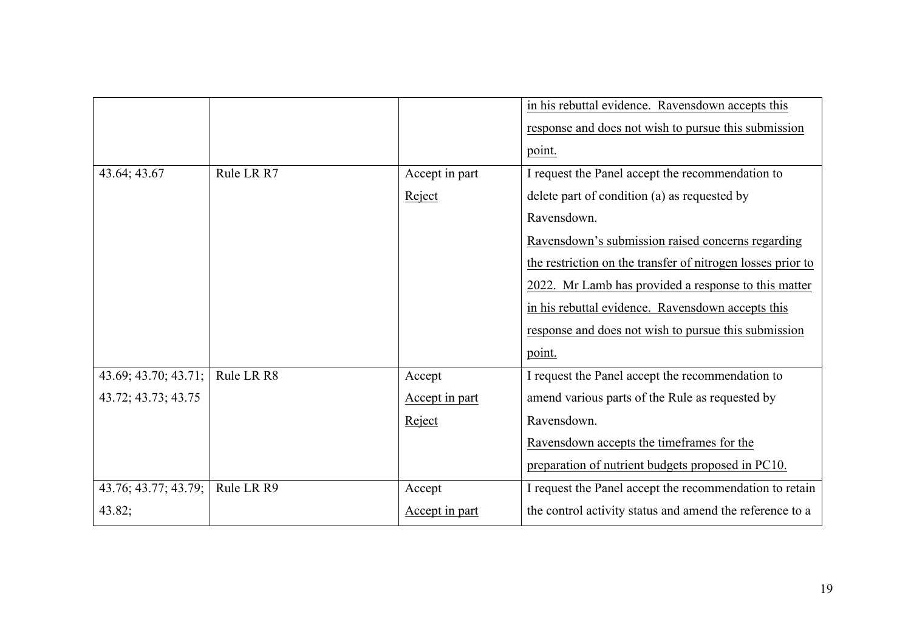|                      |            |                | in his rebuttal evidence. Ravensdown accepts this           |
|----------------------|------------|----------------|-------------------------------------------------------------|
|                      |            |                | response and does not wish to pursue this submission        |
|                      |            |                | point.                                                      |
| 43.64; 43.67         | Rule LR R7 | Accept in part | I request the Panel accept the recommendation to            |
|                      |            | Reject         | delete part of condition (a) as requested by                |
|                      |            |                | Ravensdown.                                                 |
|                      |            |                | Ravensdown's submission raised concerns regarding           |
|                      |            |                | the restriction on the transfer of nitrogen losses prior to |
|                      |            |                | 2022. Mr Lamb has provided a response to this matter        |
|                      |            |                | in his rebuttal evidence. Ravensdown accepts this           |
|                      |            |                | response and does not wish to pursue this submission        |
|                      |            |                | point.                                                      |
| 43.69; 43.70; 43.71; | Rule LR R8 | Accept         | I request the Panel accept the recommendation to            |
| 43.72; 43.73; 43.75  |            | Accept in part | amend various parts of the Rule as requested by             |
|                      |            | Reject         | Ravensdown.                                                 |
|                      |            |                | Ravensdown accepts the timeframes for the                   |
|                      |            |                | preparation of nutrient budgets proposed in PC10.           |
| 43.76; 43.77; 43.79; | Rule LR R9 | Accept         | I request the Panel accept the recommendation to retain     |
| 43.82;               |            | Accept in part | the control activity status and amend the reference to a    |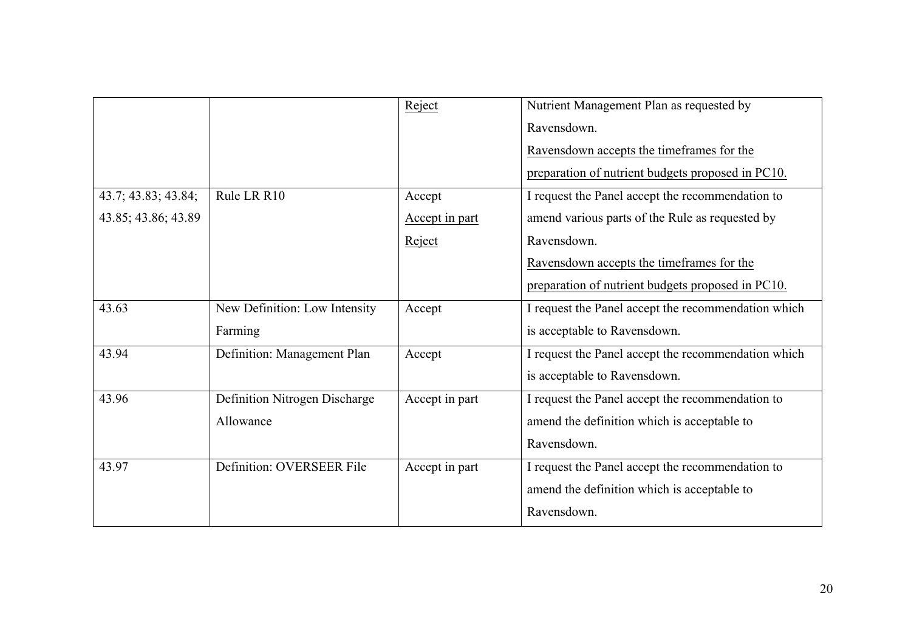|                     |                               | Reject         | Nutrient Management Plan as requested by            |
|---------------------|-------------------------------|----------------|-----------------------------------------------------|
|                     |                               |                | Ravensdown.                                         |
|                     |                               |                | Ravensdown accepts the timeframes for the           |
|                     |                               |                | preparation of nutrient budgets proposed in PC10.   |
| 43.7; 43.83; 43.84; | Rule LR R10                   | Accept         | I request the Panel accept the recommendation to    |
| 43.85; 43.86; 43.89 |                               | Accept in part | amend various parts of the Rule as requested by     |
|                     |                               | Reject         | Ravensdown.                                         |
|                     |                               |                | Ravensdown accepts the timeframes for the           |
|                     |                               |                | preparation of nutrient budgets proposed in PC10.   |
| 43.63               | New Definition: Low Intensity | Accept         | I request the Panel accept the recommendation which |
|                     | Farming                       |                | is acceptable to Ravensdown.                        |
| 43.94               | Definition: Management Plan   | Accept         | I request the Panel accept the recommendation which |
|                     |                               |                | is acceptable to Ravensdown.                        |
| 43.96               | Definition Nitrogen Discharge | Accept in part | I request the Panel accept the recommendation to    |
|                     | Allowance                     |                | amend the definition which is acceptable to         |
|                     |                               |                | Ravensdown.                                         |
| 43.97               | Definition: OVERSEER File     | Accept in part | I request the Panel accept the recommendation to    |
|                     |                               |                | amend the definition which is acceptable to         |
|                     |                               |                | Ravensdown.                                         |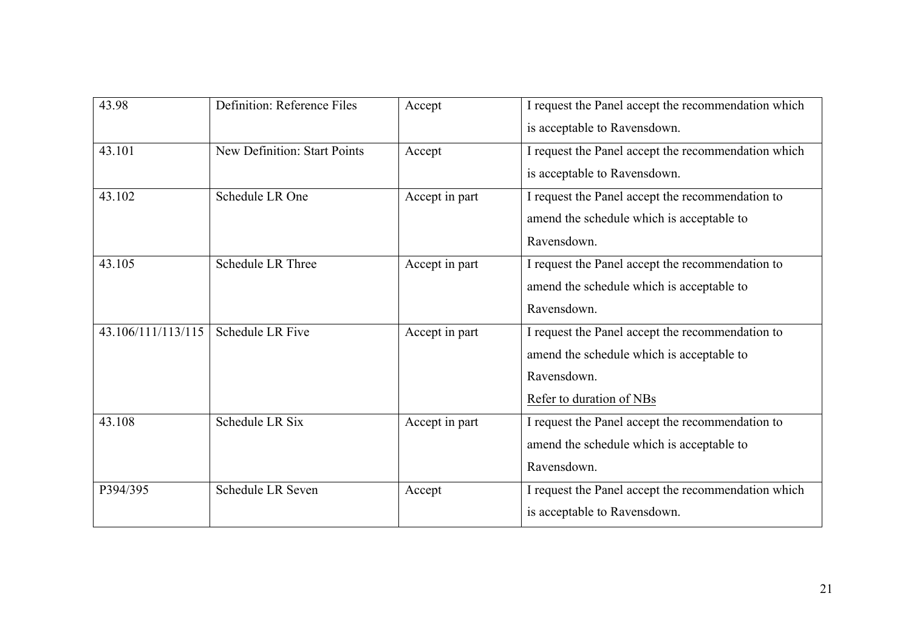| 43.98              | Definition: Reference Files         | Accept         | I request the Panel accept the recommendation which<br>is acceptable to Ravensdown. |
|--------------------|-------------------------------------|----------------|-------------------------------------------------------------------------------------|
| 43.101             | <b>New Definition: Start Points</b> | Accept         | I request the Panel accept the recommendation which                                 |
|                    |                                     |                | is acceptable to Ravensdown.                                                        |
| 43.102             | Schedule LR One                     | Accept in part | I request the Panel accept the recommendation to                                    |
|                    |                                     |                | amend the schedule which is acceptable to                                           |
|                    |                                     |                | Ravensdown.                                                                         |
| 43.105             | <b>Schedule LR Three</b>            | Accept in part | I request the Panel accept the recommendation to                                    |
|                    |                                     |                | amend the schedule which is acceptable to                                           |
|                    |                                     |                | Ravensdown.                                                                         |
| 43.106/111/113/115 | <b>Schedule LR Five</b>             | Accept in part | I request the Panel accept the recommendation to                                    |
|                    |                                     |                | amend the schedule which is acceptable to                                           |
|                    |                                     |                | Ravensdown.                                                                         |
|                    |                                     |                | Refer to duration of NBs                                                            |
| 43.108             | Schedule LR Six                     | Accept in part | I request the Panel accept the recommendation to                                    |
|                    |                                     |                | amend the schedule which is acceptable to                                           |
|                    |                                     |                | Ravensdown.                                                                         |
| P394/395           | <b>Schedule LR Seven</b>            | Accept         | I request the Panel accept the recommendation which                                 |
|                    |                                     |                | is acceptable to Ravensdown.                                                        |